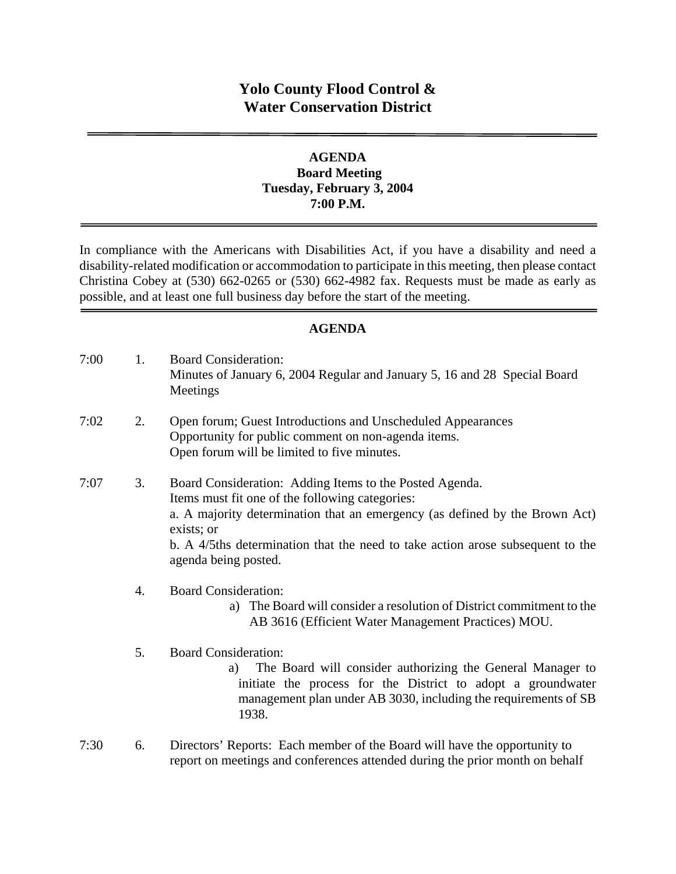# **Yolo County Flood Control & Water Conservation District**

### **AGENDA Board Meeting Tuesday, February 3, 2004 7:00 P.M.**

In compliance with the Americans with Disabilities Act, if you have a disability and need a disability-related modification or accommodation to participate in this meeting, then please contact Christina Cobey at (530) 662-0265 or (530) 662-4982 fax. Requests must be made as early as possible, and at least one full business day before the start of the meeting.

### **AGENDA**

| 7:00 | 1. | <b>Board Consideration:</b><br>Minutes of January 6, 2004 Regular and January 5, 16 and 28 Special Board<br>Meetings                                                                                                                                                                                              |
|------|----|-------------------------------------------------------------------------------------------------------------------------------------------------------------------------------------------------------------------------------------------------------------------------------------------------------------------|
| 7:02 | 2. | Open forum; Guest Introductions and Unscheduled Appearances<br>Opportunity for public comment on non-agenda items.<br>Open forum will be limited to five minutes.                                                                                                                                                 |
| 7:07 | 3. | Board Consideration: Adding Items to the Posted Agenda.<br>Items must fit one of the following categories:<br>a. A majority determination that an emergency (as defined by the Brown Act)<br>exists; or<br>b. A 4/5ths determination that the need to take action arose subsequent to the<br>agenda being posted. |
|      | 4. | <b>Board Consideration:</b><br>The Board will consider a resolution of District commitment to the<br>a)<br>AB 3616 (Efficient Water Management Practices) MOU.                                                                                                                                                    |
|      | 5. | <b>Board Consideration:</b><br>The Board will consider authorizing the General Manager to<br>a)<br>initiate the process for the District to adopt a groundwater<br>management plan under AB 3030, including the requirements of SB<br>1938.                                                                       |

7:30 6. Directors' Reports: Each member of the Board will have the opportunity to report on meetings and conferences attended during the prior month on behalf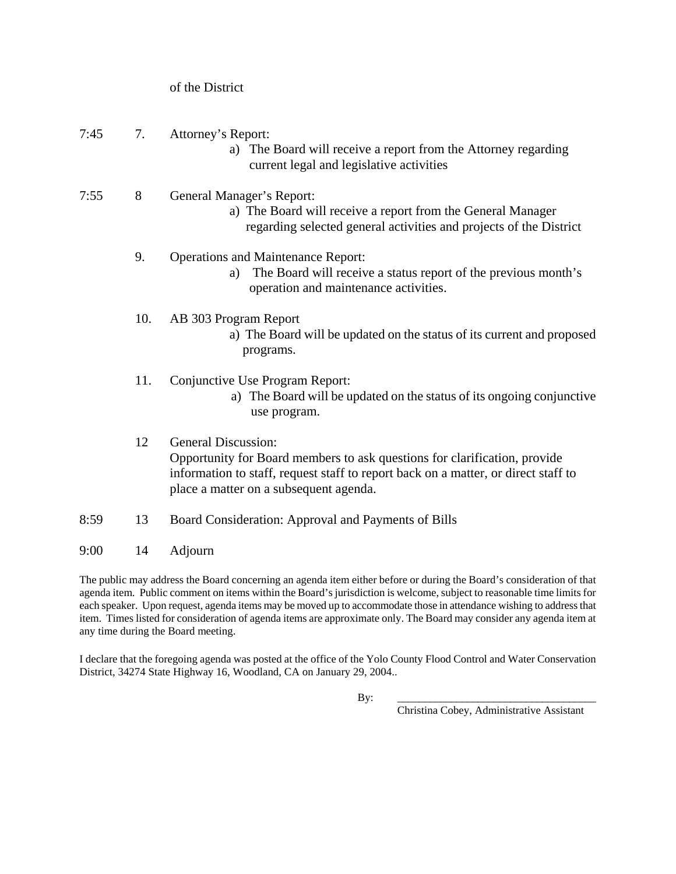of the District

#### 7:45 7. Attorney's Report:

- a) The Board will receive a report from the Attorney regarding current legal and legislative activities
- 7:55 8 General Manager's Report:
	- a) The Board will receive a report from the General Manager regarding selected general activities and projects of the District

#### 9. Operations and Maintenance Report:

- a) The Board will receive a status report of the previous month's operation and maintenance activities.
- 10. AB 303 Program Report
	- a) The Board will be updated on the status of its current and proposed programs.
- 11. Conjunctive Use Program Report:
	- a) The Board will be updated on the status of its ongoing conjunctive use program.

# 12 General Discussion: Opportunity for Board members to ask questions for clarification, provide information to staff, request staff to report back on a matter, or direct staff to place a matter on a subsequent agenda.

- 8:59 13 Board Consideration: Approval and Payments of Bills
- 9:00 14 Adjourn

The public may address the Board concerning an agenda item either before or during the Board's consideration of that agenda item. Public comment on items within the Board's jurisdiction is welcome, subject to reasonable time limits for each speaker. Upon request, agenda items may be moved up to accommodate those in attendance wishing to address that item. Times listed for consideration of agenda items are approximate only. The Board may consider any agenda item at any time during the Board meeting.

I declare that the foregoing agenda was posted at the office of the Yolo County Flood Control and Water Conservation District, 34274 State Highway 16, Woodland, CA on January 29, 2004..

By: \_\_\_\_\_\_\_\_\_\_\_\_\_\_\_\_\_\_\_\_\_\_\_\_\_\_\_\_\_\_\_\_\_\_\_\_\_

Christina Cobey, Administrative Assistant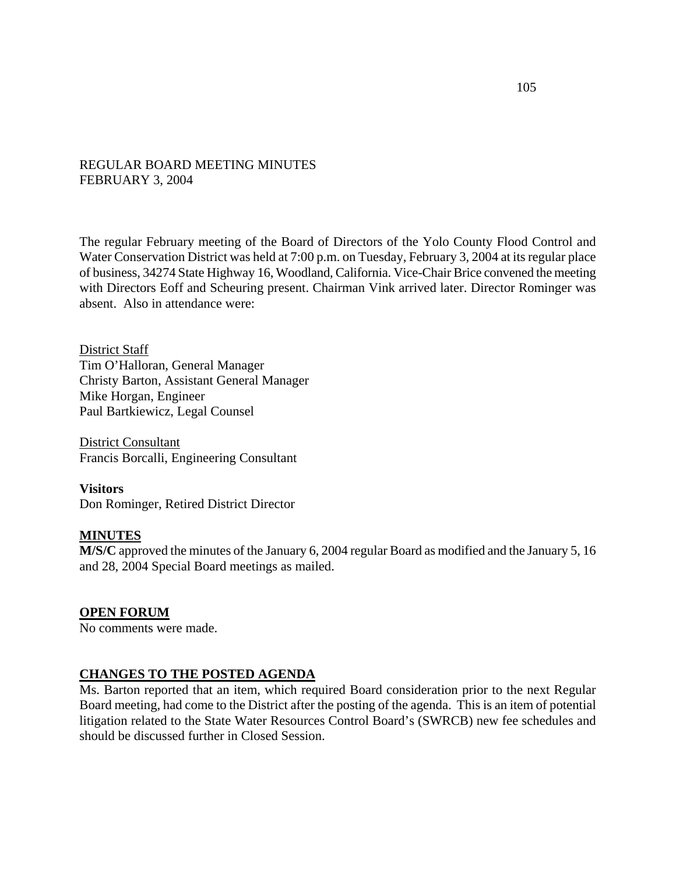#### REGULAR BOARD MEETING MINUTES FEBRUARY 3, 2004

The regular February meeting of the Board of Directors of the Yolo County Flood Control and Water Conservation District was held at 7:00 p.m. on Tuesday, February 3, 2004 at its regular place of business, 34274 State Highway 16, Woodland, California. Vice-Chair Brice convened the meeting with Directors Eoff and Scheuring present. Chairman Vink arrived later. Director Rominger was absent. Also in attendance were:

District Staff Tim O'Halloran, General Manager Christy Barton, Assistant General Manager Mike Horgan, Engineer Paul Bartkiewicz, Legal Counsel

District Consultant Francis Borcalli, Engineering Consultant

**Visitors**  Don Rominger, Retired District Director

#### **MINUTES**

**M/S/C** approved the minutes of the January 6, 2004 regular Board as modified and the January 5, 16 and 28, 2004 Special Board meetings as mailed.

#### **OPEN FORUM**

No comments were made.

#### **CHANGES TO THE POSTED AGENDA**

Ms. Barton reported that an item, which required Board consideration prior to the next Regular Board meeting, had come to the District after the posting of the agenda. This is an item of potential litigation related to the State Water Resources Control Board's (SWRCB) new fee schedules and should be discussed further in Closed Session.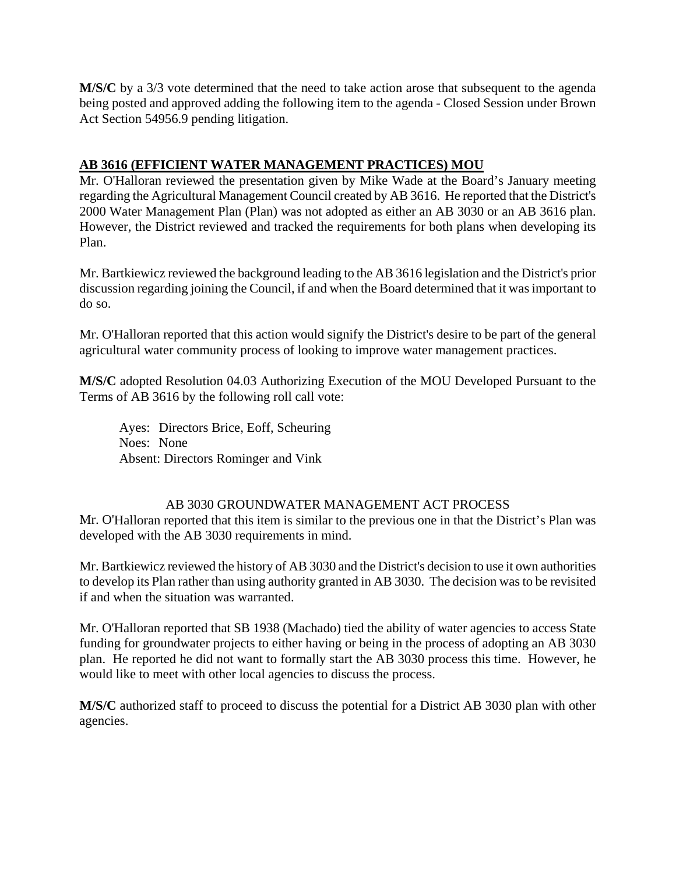**M/S/C** by a 3/3 vote determined that the need to take action arose that subsequent to the agenda being posted and approved adding the following item to the agenda - Closed Session under Brown Act Section 54956.9 pending litigation.

### **AB 3616 (EFFICIENT WATER MANAGEMENT PRACTICES) MOU**

Mr. O'Halloran reviewed the presentation given by Mike Wade at the Board's January meeting regarding the Agricultural Management Council created by AB 3616. He reported that the District's 2000 Water Management Plan (Plan) was not adopted as either an AB 3030 or an AB 3616 plan. However, the District reviewed and tracked the requirements for both plans when developing its Plan.

Mr. Bartkiewicz reviewed the background leading to the AB 3616 legislation and the District's prior discussion regarding joining the Council, if and when the Board determined that it was important to do so.

Mr. O'Halloran reported that this action would signify the District's desire to be part of the general agricultural water community process of looking to improve water management practices.

**M/S/C** adopted Resolution 04.03 Authorizing Execution of the MOU Developed Pursuant to the Terms of AB 3616 by the following roll call vote:

Ayes: Directors Brice, Eoff, Scheuring Noes: None Absent: Directors Rominger and Vink

# AB 3030 GROUNDWATER MANAGEMENT ACT PROCESS

Mr. O'Halloran reported that this item is similar to the previous one in that the District's Plan was developed with the AB 3030 requirements in mind.

Mr. Bartkiewicz reviewed the history of AB 3030 and the District's decision to use it own authorities to develop its Plan rather than using authority granted in AB 3030. The decision was to be revisited if and when the situation was warranted.

Mr. O'Halloran reported that SB 1938 (Machado) tied the ability of water agencies to access State funding for groundwater projects to either having or being in the process of adopting an AB 3030 plan. He reported he did not want to formally start the AB 3030 process this time. However, he would like to meet with other local agencies to discuss the process.

**M/S/C** authorized staff to proceed to discuss the potential for a District AB 3030 plan with other agencies.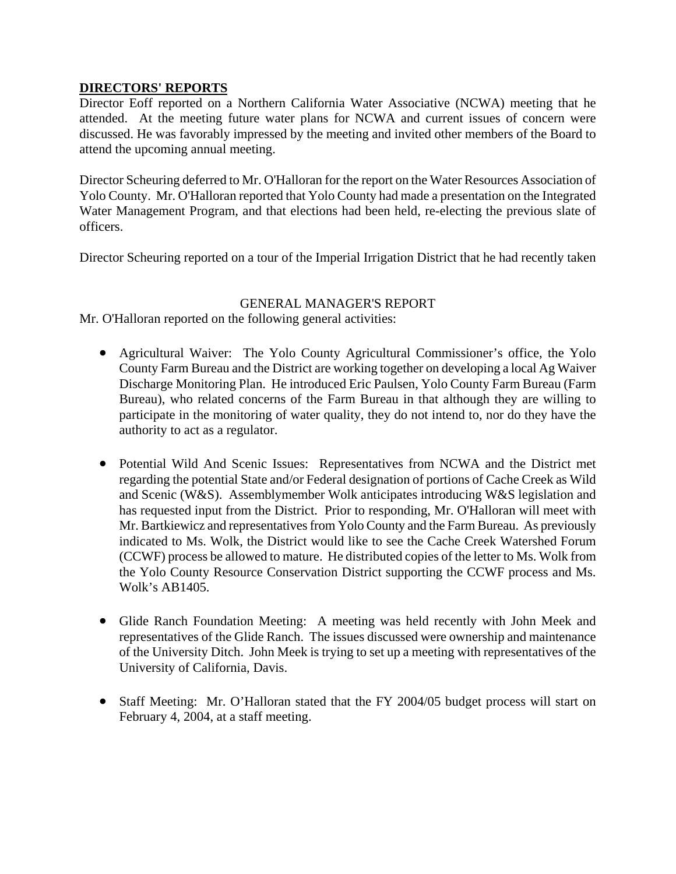### **DIRECTORS' REPORTS**

Director Eoff reported on a Northern California Water Associative (NCWA) meeting that he attended. At the meeting future water plans for NCWA and current issues of concern were discussed. He was favorably impressed by the meeting and invited other members of the Board to attend the upcoming annual meeting.

Director Scheuring deferred to Mr. O'Halloran for the report on the Water Resources Association of Yolo County. Mr. O'Halloran reported that Yolo County had made a presentation on the Integrated Water Management Program, and that elections had been held, re-electing the previous slate of officers.

Director Scheuring reported on a tour of the Imperial Irrigation District that he had recently taken

### GENERAL MANAGER'S REPORT

Mr. O'Halloran reported on the following general activities:

- Agricultural Waiver: The Yolo County Agricultural Commissioner's office, the Yolo County Farm Bureau and the District are working together on developing a local Ag Waiver Discharge Monitoring Plan. He introduced Eric Paulsen, Yolo County Farm Bureau (Farm Bureau), who related concerns of the Farm Bureau in that although they are willing to participate in the monitoring of water quality, they do not intend to, nor do they have the authority to act as a regulator.
- Potential Wild And Scenic Issues: Representatives from NCWA and the District met regarding the potential State and/or Federal designation of portions of Cache Creek as Wild and Scenic (W&S). Assemblymember Wolk anticipates introducing W&S legislation and has requested input from the District. Prior to responding, Mr. O'Halloran will meet with Mr. Bartkiewicz and representatives from Yolo County and the Farm Bureau. As previously indicated to Ms. Wolk, the District would like to see the Cache Creek Watershed Forum (CCWF) process be allowed to mature. He distributed copies of the letter to Ms. Wolk from the Yolo County Resource Conservation District supporting the CCWF process and Ms. Wolk's AB1405.
- Glide Ranch Foundation Meeting: A meeting was held recently with John Meek and representatives of the Glide Ranch. The issues discussed were ownership and maintenance of the University Ditch. John Meek is trying to set up a meeting with representatives of the University of California, Davis.
- Staff Meeting: Mr. O'Halloran stated that the FY 2004/05 budget process will start on February 4, 2004, at a staff meeting.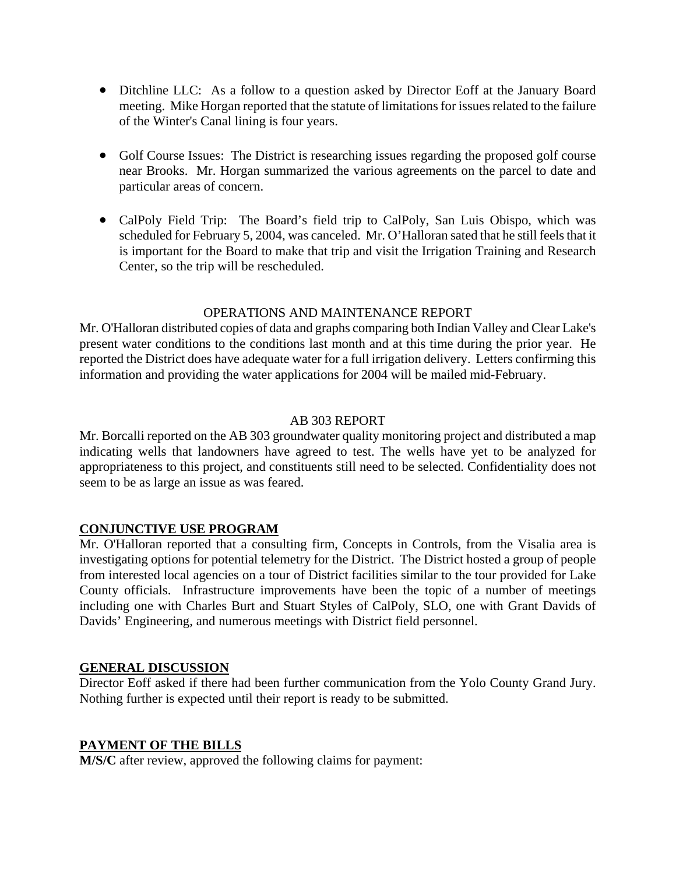- Ditchline LLC: As a follow to a question asked by Director Eoff at the January Board meeting. Mike Horgan reported that the statute of limitations for issues related to the failure of the Winter's Canal lining is four years.
- Golf Course Issues: The District is researching issues regarding the proposed golf course near Brooks. Mr. Horgan summarized the various agreements on the parcel to date and particular areas of concern.
- CalPoly Field Trip: The Board's field trip to CalPoly, San Luis Obispo, which was scheduled for February 5, 2004, was canceled. Mr. O'Halloran sated that he still feels that it is important for the Board to make that trip and visit the Irrigation Training and Research Center, so the trip will be rescheduled.

### OPERATIONS AND MAINTENANCE REPORT

Mr. O'Halloran distributed copies of data and graphs comparing both Indian Valley and Clear Lake's present water conditions to the conditions last month and at this time during the prior year. He reported the District does have adequate water for a full irrigation delivery. Letters confirming this information and providing the water applications for 2004 will be mailed mid-February.

### AB 303 REPORT

Mr. Borcalli reported on the AB 303 groundwater quality monitoring project and distributed a map indicating wells that landowners have agreed to test. The wells have yet to be analyzed for appropriateness to this project, and constituents still need to be selected. Confidentiality does not seem to be as large an issue as was feared.

# **CONJUNCTIVE USE PROGRAM**

Mr. O'Halloran reported that a consulting firm, Concepts in Controls, from the Visalia area is investigating options for potential telemetry for the District. The District hosted a group of people from interested local agencies on a tour of District facilities similar to the tour provided for Lake County officials. Infrastructure improvements have been the topic of a number of meetings including one with Charles Burt and Stuart Styles of CalPoly, SLO, one with Grant Davids of Davids' Engineering, and numerous meetings with District field personnel.

#### **GENERAL DISCUSSION**

Director Eoff asked if there had been further communication from the Yolo County Grand Jury. Nothing further is expected until their report is ready to be submitted.

#### **PAYMENT OF THE BILLS**

**M/S/C** after review, approved the following claims for payment: